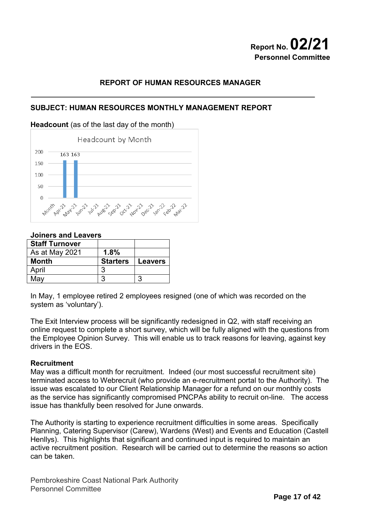# **Report No. 02/21 Personnel Committee**

### **REPORT OF HUMAN RESOURCES MANAGER**

### **SUBJECT: HUMAN RESOURCES MONTHLY MANAGEMENT REPORT**

#### **Headcount** (as of the last day of the month)



#### **Joiners and Leavers**

| <b>Staff Turnover</b> |                 |                |
|-----------------------|-----------------|----------------|
| As at May 2021        | 1.8%            |                |
| <b>Month</b>          | <b>Starters</b> | <b>Leavers</b> |
| April                 |                 |                |
| Mav                   | າ               |                |

In May, 1 employee retired 2 employees resigned (one of which was recorded on the system as 'voluntary').

The Exit Interview process will be significantly redesigned in Q2, with staff receiving an online request to complete a short survey, which will be fully aligned with the questions from the Employee Opinion Survey. This will enable us to track reasons for leaving, against key drivers in the EOS.

#### **Recruitment**

May was a difficult month for recruitment. Indeed (our most successful recruitment site) terminated access to Webrecruit (who provide an e-recruitment portal to the Authority). The issue was escalated to our Client Relationship Manager for a refund on our monthly costs as the service has significantly compromised PNCPAs ability to recruit on-line. The access issue has thankfully been resolved for June onwards.

The Authority is starting to experience recruitment difficulties in some areas. Specifically Planning, Catering Supervisor (Carew), Wardens (West) and Events and Education (Castell Henllys). This highlights that significant and continued input is required to maintain an active recruitment position. Research will be carried out to determine the reasons so action can be taken.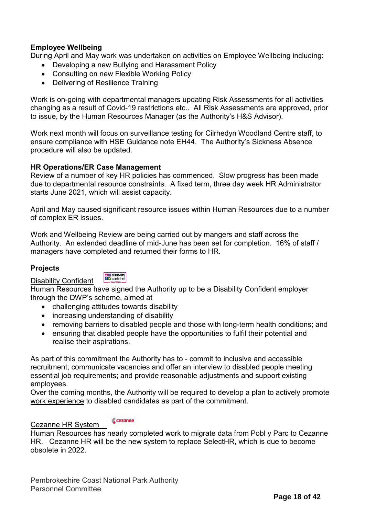## **Employee Wellbeing**

During April and May work was undertaken on activities on Employee Wellbeing including:

- Developing a new Bullying and Harassment Policy
- Consulting on new Flexible Working Policy
- Delivering of Resilience Training

Work is on-going with departmental managers updating Risk Assessments for all activities changing as a result of Covid-19 restrictions etc.. All Risk Assessments are approved, prior to issue, by the Human Resources Manager (as the Authority's H&S Advisor).

Work next month will focus on surveillance testing for Cilrhedyn Woodland Centre staff, to ensure compliance with HSE Guidance note EH44. The Authority's Sickness Absence procedure will also be updated.

#### **HR Operations/ER Case Management**

Review of a number of key HR policies has commenced. Slow progress has been made due to departmental resource constraints. A fixed term, three day week HR Administrator starts June 2021, which will assist capacity.

April and May caused significant resource issues within Human Resources due to a number of complex ER issues.

Work and Wellbeing Review are being carried out by mangers and staff across the Authority. An extended deadline of mid-June has been set for completion. 16% of staff / managers have completed and returned their forms to HR.

#### **Projects**

Disability Confident

**DE** disability<br>**BE** confident

Human Resources have signed the Authority up to be a Disability Confident employer through the DWP's scheme, aimed at

- challenging attitudes towards disability
- increasing understanding of disability
- removing barriers to disabled people and those with long-term health conditions; and
- ensuring that disabled people have the opportunities to fulfil their potential and realise their aspirations.

As part of this commitment the Authority has to - commit to inclusive and accessible recruitment; communicate vacancies and offer an interview to disabled people meeting essential job requirements; and provide reasonable adjustments and support existing employees.

Over the coming months, the Authority will be required to develop a plan to actively promote work experience to disabled candidates as part of the commitment.

#### **C** cezanne Cezanne HR System

Human Resources has nearly completed work to migrate data from Pobl y Parc to Cezanne HR. Cezanne HR will be the new system to replace SelectHR, which is due to become obsolete in 2022.